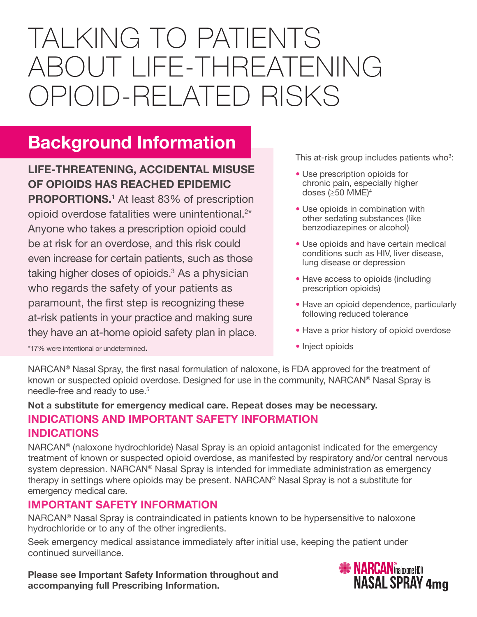# TALKING TO PATIENTS ABOUT LIFE-THREATENING OPIOID-RELATED RISKS

# Background Information

# LIFE-THREATENING, ACCIDENTAL MISUSE OF OPIOIDS HAS REACHED EPIDEMIC

**PROPORTIONS.<sup>1</sup>** At least 83% of prescription opioid overdose fatalities were unintentional.<sup>2\*</sup> Anyone who takes a prescription opioid could be at risk for an overdose, and this risk could even increase for certain patients, such as those taking higher doses of opioids. $3$  As a physician who regards the safety of your patients as paramount, the first step is recognizing these at-risk patients in your practice and making sure they have an at-home opioid safety plan in place. This at-risk group includes patients who $3$ :

- Use prescription opioids for chronic pain, especially higher doses (≥50 MME)4
- Use opioids in combination with other sedating substances (like benzodiazepines or alcohol)
- Use opioids and have certain medical conditions such as HIV, liver disease, lung disease or depression
- Have access to opioids (including prescription opioids)
- Have an opioid dependence, particularly following reduced tolerance
- Have a prior history of opioid overdose
- Inject opioids

NARCAN® Nasal Spray, the first nasal formulation of naloxone, is FDA approved for the treatment of known or suspected opioid overdose. Designed for use in the community, NARCAN® Nasal Spray is needle-free and ready to use.<sup>5</sup>

#### Not a substitute for emergency medical care. Repeat doses may be necessary. INDICATIONS AND IMPORTANT SAFETY INFORMATION INDICATIONS

NARCAN® (naloxone hydrochloride) Nasal Spray is an opioid antagonist indicated for the emergency treatment of known or suspected opioid overdose, as manifested by respiratory and/or central nervous system depression. NARCAN® Nasal Spray is intended for immediate administration as emergency therapy in settings where opioids may be present. NARCAN® Nasal Spray is not a substitute for emergency medical care.

# IMPORTANT SAFETY INFORMATION

\*17% were intentional or undetermined.

NARCAN® Nasal Spray is contraindicated in patients known to be hypersensitive to naloxone hydrochloride or to any of the other ingredients.

Seek emergency medical assistance immediately after initial use, keeping the patient under continued surveillance.

Please see Important Safety Information throughout and accompanying full Prescribing Information.

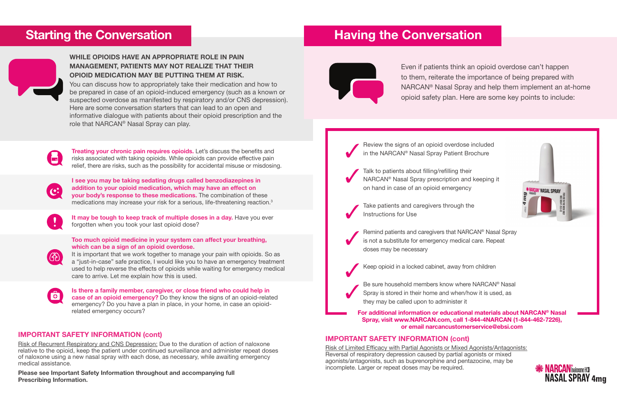# IMPORTANT SAFETY INFORMATION (cont)

Risk of Recurrent Respiratory and CNS Depression: Due to the duration of action of naloxone relative to the opioid, keep the patient under continued surveillance and administer repeat doses of naloxone using a new nasal spray with each dose, as necessary, while awaiting emergency medical assistance.

Please see Important Safety Information throughout and accompanying full Prescribing Information.

# WHILE OPIOIDS HAVE AN APPROPRIATE ROLE IN PAIN MANAGEMENT, PATIENTS MAY NOT REALIZE THAT THEIR OPIOID MEDICATION MAY BE PUTTING THEM AT RISK.

**Treating your chronic pain requires opioids.** Let's discuss the benefits and risks associated with taking opioids. While opioids can provide effective pain relief, there are risks, such as the possibility for accidental misuse or misdosing.

I see you may be taking sedating drugs called benzodiazepines in addition to your opioid medication, which may have an effect on your body's response to these medications. The combination of these medications may increase your risk for a serious, life-threatening reaction.<sup>3</sup>





You can discuss how to appropriately take their medication and how to be prepared in case of an opioid-induced emergency (such as a known or suspected overdose as manifested by respiratory and/or CNS depression). Here are some conversation starters that can lead to an open and informative dialogue with patients about their opioid prescription and the role that NARCAN® Nasal Spray can play.



It may be tough to keep track of multiple doses in a day. Have you ever forgotten when you took your last opioid dose?



# Starting the Conversation



Is there a family member, caregiver, or close friend who could help in case of an opioid emergency? Do they know the signs of an opioid-related emergency? Do you have a plan in place, in your home, in case an opioidrelated emergency occurs? The contract of the contract of the contract of the contract of the contract of the contract of the contract of the contract of the contract of the contract of the contract of the contract of the

 $\sqrt{2}$ Review the signs of an opioid overdose included in the NARCAN® Nasal Spray Patient Brochure

 $\sqrt{2}$ Talk to patients about filling/refilling their NARCAN® Nasal Spray prescription and keeping it on hand in case of an opioid emergency

 $\bigvee$ Take patients and caregivers through the Instructions for Use

Too much opioid medicine in your system can affect your breathing, which can be a sign of an opioid overdose.

It is important that we work together to manage your pain with opioids. So as a "just-in-case" safe practice, I would like you to have an emergency treatment used to help reverse the effects of opioids while waiting for emergency medical care to arrive. Let me explain how this is used.



Spray, visit www.NARCAN.com, call 1-844-4NARCAN (1-844-462-7226), or email narcancustomerservice@ebsi.com





# Having the Conversation



 $\bigvee$ 

 $\sqrt{2}$ 

Even if patients think an opioid overdose can't happen to them, reiterate the importance of being prepared with NARCAN® Nasal Spray and help them implement an at-home opioid safety plan. Here are some key points to include:

# IMPORTANT SAFETY INFORMATION (cont)

Risk of Limited Efficacy with Partial Agonists or Mixed Agonists/Antagonists: Reversal of respiratory depression caused by partial agonists or mixed agonists/antagonists, such as buprenorphine and pentazocine, may be incomplete. Larger or repeat doses may be required.

Keep opioid in a locked cabinet, away from children



Be sure household members know where NARCAN® Nasal Spray is stored in their home and when/how it is used, as they may be called upon to administer it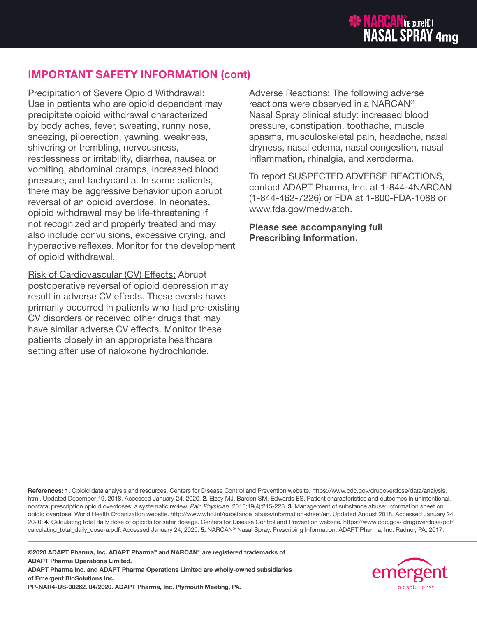

# IMPORTANT SAFETY INFORMATION (cont)

Precipitation of Severe Opioid Withdrawal: Use in patients who are opioid dependent may precipitate opioid withdrawal characterized by body aches, fever, sweating, runny nose, sneezing, piloerection, yawning, weakness, shivering or trembling, nervousness, restlessness or irritability, diarrhea, nausea or vomiting, abdominal cramps, increased blood pressure, and tachycardia. In some patients, there may be aggressive behavior upon abrupt reversal of an opioid overdose. In neonates, opioid withdrawal may be life-threatening if not recognized and properly treated and may also include convulsions, excessive crying, and hyperactive reflexes. Monitor for the development of opioid withdrawal.

Risk of Cardiovascular (CV) Effects: Abrupt postoperative reversal of opioid depression may result in adverse CV effects. These events have primarily occurred in patients who had pre-existing CV disorders or received other drugs that may have similar adverse CV effects. Monitor these patients closely in an appropriate healthcare setting after use of naloxone hydrochloride.

Adverse Reactions: The following adverse reactions were observed in a NARCAN® Nasal Spray clinical study: increased blood pressure, constipation, toothache, muscle spasms, musculoskeletal pain, headache, nasal dryness, nasal edema, nasal congestion, nasal inflammation, rhinalgia, and xeroderma.

To report SUSPECTED ADVERSE REACTIONS, contact ADAPT Pharma, Inc. at 1-844-4NARCAN (1-844-462-7226) or FDA at 1-800-FDA-1088 or www.fda.gov/medwatch.

Please see accompanying full Prescribing Information.

References: 1. Opioid data analysis and resources. Centers for Disease Control and Prevention website. https://www.cdc.gov/drugoverdose/data/analysis. html. Updated December 19, 2018. Accessed January 24, 2020. 2. Elzey MJ, Barden SM, Edwards ES. Patient characteristics and outcomes in unintentional, nonfatal prescription opioid overdoses: a systematic review. *Pain Physician*. 2016;19(4):215-228. 3. Management of substance abuse: information sheet on opioid overdose. World Health Organization website. http://www.who.int/substance\_abuse/information-sheet/en. Updated August 2018. Accessed January 24, 2020. 4. Calculating total daily dose of opioids for safer dosage. Centers for Disease Control and Prevention website. https://www.cdc.gov/ drugoverdose/pdf/ calculating\_total\_daily\_dose-a.pdf. Accessed January 24, 2020. 5. NARCAN® Nasal Spray. Prescribing Information. ADAPT Pharma, Inc. Radnor, PA; 2017.

©2020 ADAPT Pharma, Inc. ADAPT Pharma® and NARCAN® are registered trademarks of ADAPT Pharma Operations Limited. ADAPT Pharma Inc. and ADAPT Pharma Operations Limited are wholly-owned subsidiaries of Emergent BioSolutions Inc. PP-NAR4-US-00262. 04/2020. ADAPT Pharma, Inc. Plymouth Meeting, PA.

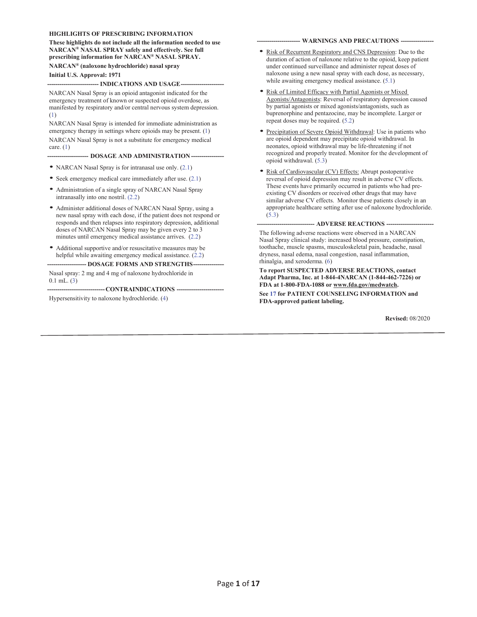#### **HIGHLIGHTS OF PRESCRIBING INFORMATION**

**These highlights do not include all the information needed to use NARCAN® NASAL SPRAY safely and effectively. See full prescribing information for NARCAN® NASAL SPRAY.**

**NARCAN® (naloxone hydrochloride) nasal spray Initial U.S. Approval: 1971** 

--- INDICATIONS AND USAGE ----

NARCAN Nasal Spray is an opioid antagonist indicated for the emergency treatment of known or suspected opioid overdose, as manifested by respiratory and/or central nervous system depression. (1)

NARCAN Nasal Spray is intended for immediate administration as emergency therapy in settings where opioids may be present. (1) NARCAN Nasal Spray is not a substitute for emergency medical care.  $(1)$ 

#### -- DOSAGE AND ADMINISTRATION ------

- NARCAN Nasal Spray is for intranasal use only. (2.1)
- Seek emergency medical care immediately after use. (2.1)
- Administration of a single spray of NARCAN Nasal Spray intranasally into one nostril. (2.2)
- Administer additional doses of NARCAN Nasal Spray, using a new nasal spray with each dose, if the patient does not respond or responds and then relapses into respiratory depression, additional doses of NARCAN Nasal Spray may be given every 2 to 3 minutes until emergency medical assistance arrives. (2.2)
- Additional supportive and/or resuscitative measures may be helpful while awaiting emergency medical assistance. (2.2)
- --- DOSAGE FORMS AND STRENGTHS ---Nasal spray: 2 mg and 4 mg of naloxone hydrochloride in

0.1 mL. (3)  **---------------------------- CONTRAINDICATIONS -----------------------** 

Hypersensitivity to naloxone hydrochloride. (4)

#### **WARNINGS AND PRECAUTIONS --**

- Risk of Recurrent Respiratory and CNS Depression: Due to the duration of action of naloxone relative to the opioid, keep patient under continued surveillance and administer repeat doses of naloxone using a new nasal spray with each dose, as necessary, while awaiting emergency medical assistance. (5.1)
- Risk of Limited Efficacy with Partial Agonists or Mixed Agonists/Antagonists: Reversal of respiratory depression caused by partial agonists or mixed agonists/antagonists, such as buprenorphine and pentazocine, may be incomplete. Larger or repeat doses may be required. (5.2)
- Precipitation of Severe Opioid Withdrawal: Use in patients who are opioid dependent may precipitate opioid withdrawal. In neonates, opioid withdrawal may be life-threatening if not recognized and properly treated. Monitor for the development of opioid withdrawal. (5.3)
- Risk of Cardiovascular (CV) Effects: Abrupt postoperative reversal of opioid depression may result in adverse CV effects. These events have primarily occurred in patients who had preexisting CV disorders or received other drugs that may have similar adverse CV effects. Monitor these patients closely in an appropriate healthcare setting after use of naloxone hydrochloride. (5.3)

--- ADVERSE REACTIONS ---

The following adverse reactions were observed in a NARCAN Nasal Spray clinical study: increased blood pressure, constipation, toothache, muscle spasms, musculoskeletal pain, headache, nasal dryness, nasal edema, nasal congestion, nasal inflammation, rhinalgia, and xeroderma. (6)

**To report SUSPECTED ADVERSE REACTIONS, contact Adapt Pharma, Inc. at 1-844-4NARCAN (1-844-462-7226) or FDA at 1-800-FDA-1088 or www.fda.gov/medwatch.**

**See 17 for PATIENT COUNSELING INFORMATION and FDA-approved patient labeling.**

**Revised:** 08/2020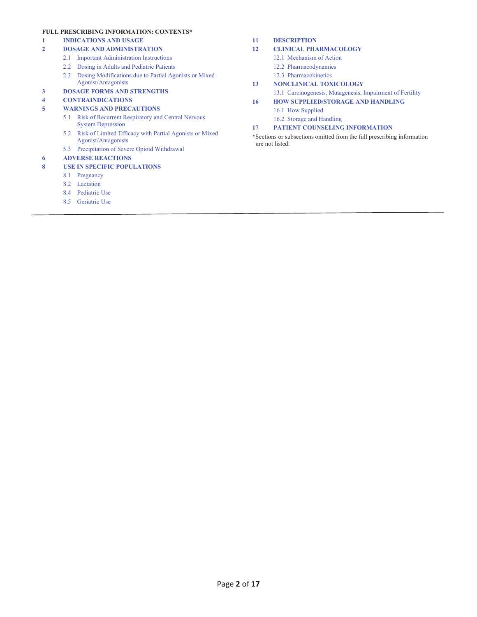#### **FULL PRESCRIBING INFORMATION: CONTENTS\***

#### **1 INDICATIONS AND USAGE**

#### **2 DOSAGE AND ADMINISTRATION**

- 2.1 Important Administration Instructions
- 2.2 Dosing in Adults and Pediatric Patients
- 2.3 Dosing Modifications due to Partial Agonists or Mixed Agonist/Antagonists
- **3 DOSAGE FORMS AND STRENGTHS**

#### **4 CONTRAINDICATIONS**

#### **5 WARNINGS AND PRECAUTIONS**

- 5.1 Risk of Recurrent Respiratory and Central Nervous System Depression
- 5.2 Risk of Limited Efficacy with Partial Agonists or Mixed Agonist/Antagonists
- 5.3 Precipitation of Severe Opioid Withdrawal

#### **6 ADVERSE REACTIONS**

#### **8 USE IN SPECIFIC POPULATIONS**

- 8.1 Pregnancy
- 8.2 Lactation
- 8.4 Pediatric Use
- 8.5 Geriatric Use
- **11 DESCRIPTION**
- **12 CLINICAL PHARMACOLOGY** 
	- 12.1 Mechanism of Action
		- 12.2 Pharmacodynamics
	- 12.3 Pharmacokinetics
- **13 NONCLINICAL TOXICOLOGY** 
	- 13.1 Carcinogenesis, Mutagenesis, Impairment of Fertility
- **16 HOW SUPPLIED/STORAGE AND HANDLING**  16.1 How Supplied
- 16.2 Storage and Handling **17 PATIENT COUNSELING INFORMATION**
- \*Sections or subsections omitted from the full prescribing information are not listed.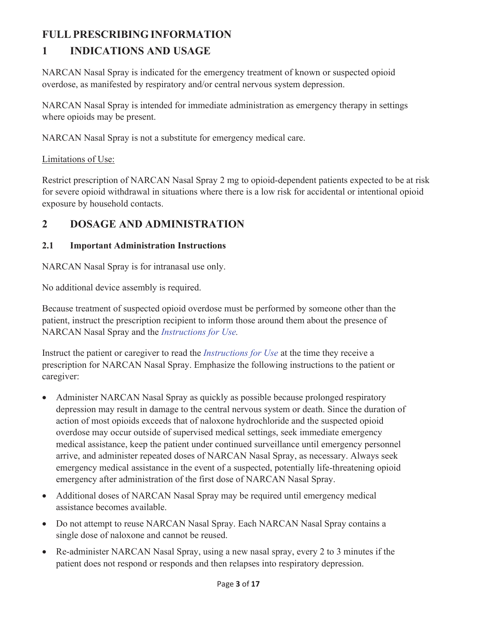# **FULL PRESCRIBING INFORMATION**

# **1 INDICATIONS AND USAGE**

NARCAN Nasal Spray is indicated for the emergency treatment of known or suspected opioid overdose, as manifested by respiratory and/or central nervous system depression.

NARCAN Nasal Spray is intended for immediate administration as emergency therapy in settings where opioids may be present.

NARCAN Nasal Spray is not a substitute for emergency medical care.

#### Limitations of Use:

Restrict prescription of NARCAN Nasal Spray 2 mg to opioid-dependent patients expected to be at risk for severe opioid withdrawal in situations where there is a low risk for accidental or intentional opioid exposure by household contacts.

#### **2 DOSAGE AND ADMINISTRATION**

#### **2.1 Important Administration Instructions**

NARCAN Nasal Spray is for intranasal use only.

No additional device assembly is required.

Because treatment of suspected opioid overdose must be performed by someone other than the patient, instruct the prescription recipient to inform those around them about the presence of NARCAN Nasal Spray and the *Instructions for Use.*

Instruct the patient or caregiver to read the *Instructions for Use* at the time they receive a prescription for NARCAN Nasal Spray. Emphasize the following instructions to the patient or caregiver:

- Administer NARCAN Nasal Spray as quickly as possible because prolonged respiratory depression may result in damage to the central nervous system or death. Since the duration of action of most opioids exceeds that of naloxone hydrochloride and the suspected opioid overdose may occur outside of supervised medical settings, seek immediate emergency medical assistance, keep the patient under continued surveillance until emergency personnel arrive, and administer repeated doses of NARCAN Nasal Spray, as necessary. Always seek emergency medical assistance in the event of a suspected, potentially life-threatening opioid emergency after administration of the first dose of NARCAN Nasal Spray.
- Additional doses of NARCAN Nasal Spray may be required until emergency medical assistance becomes available.
- Do not attempt to reuse NARCAN Nasal Spray. Each NARCAN Nasal Spray contains a single dose of naloxone and cannot be reused.
- $\bullet$  Re-administer NARCAN Nasal Spray, using a new nasal spray, every 2 to 3 minutes if the patient does not respond or responds and then relapses into respiratory depression.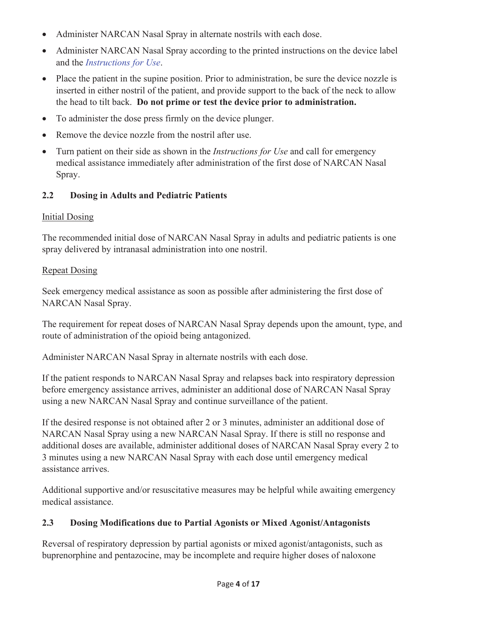- Administer NARCAN Nasal Spray in alternate nostrils with each dose.
- Administer NARCAN Nasal Spray according to the printed instructions on the device label and the *Instructions for Use*.
- Place the patient in the supine position. Prior to administration, be sure the device nozzle is inserted in either nostril of the patient, and provide support to the back of the neck to allow the head to tilt back. **Do not prime or test the device prior to administration.**
- To administer the dose press firmly on the device plunger.
- $\bullet$  Remove the device nozzle from the nostril after use.
- Turn patient on their side as shown in the *Instructions for Use* and call for emergency medical assistance immediately after administration of the first dose of NARCAN Nasal Spray.

#### **2.2 Dosing in Adults and Pediatric Patients**

#### Initial Dosing

The recommended initial dose of NARCAN Nasal Spray in adults and pediatric patients is one spray delivered by intranasal administration into one nostril.

#### Repeat Dosing

Seek emergency medical assistance as soon as possible after administering the first dose of NARCAN Nasal Spray.

The requirement for repeat doses of NARCAN Nasal Spray depends upon the amount, type, and route of administration of the opioid being antagonized.

Administer NARCAN Nasal Spray in alternate nostrils with each dose.

If the patient responds to NARCAN Nasal Spray and relapses back into respiratory depression before emergency assistance arrives, administer an additional dose of NARCAN Nasal Spray using a new NARCAN Nasal Spray and continue surveillance of the patient.

If the desired response is not obtained after 2 or 3 minutes, administer an additional dose of NARCAN Nasal Spray using a new NARCAN Nasal Spray. If there is still no response and additional doses are available, administer additional doses of NARCAN Nasal Spray every 2 to 3 minutes using a new NARCAN Nasal Spray with each dose until emergency medical assistance arrives.

Additional supportive and/or resuscitative measures may be helpful while awaiting emergency medical assistance.

#### **2.3 Dosing Modifications due to Partial Agonists or Mixed Agonist/Antagonists**

Reversal of respiratory depression by partial agonists or mixed agonist/antagonists, such as buprenorphine and pentazocine, may be incomplete and require higher doses of naloxone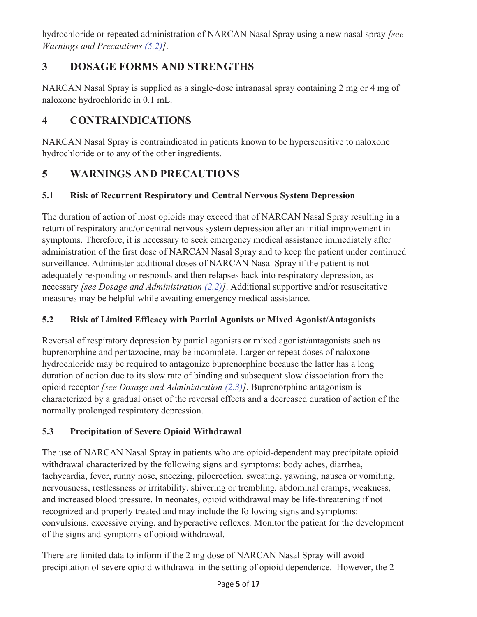hydrochloride or repeated administration of NARCAN Nasal Spray using a new nasal spray *[see Warnings and Precautions (5.2)]*.

# **3 DOSAGE FORMS AND STRENGTHS**

NARCAN Nasal Spray is supplied as a single-dose intranasal spray containing 2 mg or 4 mg of naloxone hydrochloride in 0.1 mL.

# **4 CONTRAINDICATIONS**

NARCAN Nasal Spray is contraindicated in patients known to be hypersensitive to naloxone hydrochloride or to any of the other ingredients.

# **5 WARNINGS AND PRECAUTIONS**

#### **5.1 Risk of Recurrent Respiratory and Central Nervous System Depression**

The duration of action of most opioids may exceed that of NARCAN Nasal Spray resulting in a return of respiratory and/or central nervous system depression after an initial improvement in symptoms. Therefore, it is necessary to seek emergency medical assistance immediately after administration of the first dose of NARCAN Nasal Spray and to keep the patient under continued surveillance. Administer additional doses of NARCAN Nasal Spray if the patient is not adequately responding or responds and then relapses back into respiratory depression, as necessary *[see Dosage and Administration (2.2)]*. Additional supportive and/or resuscitative measures may be helpful while awaiting emergency medical assistance.

#### **5.2 Risk of Limited Efficacy with Partial Agonists or Mixed Agonist/Antagonists**

Reversal of respiratory depression by partial agonists or mixed agonist/antagonists such as buprenorphine and pentazocine, may be incomplete. Larger or repeat doses of naloxone hydrochloride may be required to antagonize buprenorphine because the latter has a long duration of action due to its slow rate of binding and subsequent slow dissociation from the opioid receptor *[see Dosage and Administration (2.3)]*. Buprenorphine antagonism is characterized by a gradual onset of the reversal effects and a decreased duration of action of the normally prolonged respiratory depression.

### **5.3 Precipitation of Severe Opioid Withdrawal**

The use of NARCAN Nasal Spray in patients who are opioid-dependent may precipitate opioid withdrawal characterized by the following signs and symptoms: body aches, diarrhea, tachycardia, fever, runny nose, sneezing, piloerection, sweating, yawning, nausea or vomiting, nervousness, restlessness or irritability, shivering or trembling, abdominal cramps, weakness, and increased blood pressure. In neonates, opioid withdrawal may be life-threatening if not recognized and properly treated and may include the following signs and symptoms: convulsions, excessive crying, and hyperactive reflexes*.* Monitor the patient for the development of the signs and symptoms of opioid withdrawal.

There are limited data to inform if the 2 mg dose of NARCAN Nasal Spray will avoid precipitation of severe opioid withdrawal in the setting of opioid dependence. However, the 2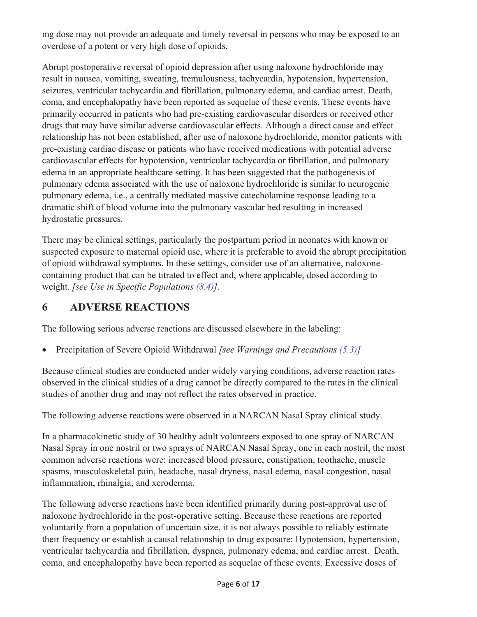mg dose may not provide an adequate and timely reversal in persons who may be exposed to an overdose of a potent or very high dose of opioids.

Abrupt postoperative reversal of opioid depression after using naloxone hydrochloride may result in nausea, vomiting, sweating, tremulousness, tachycardia, hypotension, hypertension, seizures, ventricular tachycardia and fibrillation, pulmonary edema, and cardiac arrest. Death, coma, and encephalopathy have been reported as sequelae of these events. These events have primarily occurred in patients who had pre-existing cardiovascular disorders or received other drugs that may have similar adverse cardiovascular effects. Although a direct cause and effect relationship has not been established, after use of naloxone hydrochloride, monitor patients with pre-existing cardiac disease or patients who have received medications with potential adverse cardiovascular effects for hypotension, ventricular tachycardia or fibrillation, and pulmonary edema in an appropriate healthcare setting. It has been suggested that the pathogenesis of pulmonary edema associated with the use of naloxone hydrochloride is similar to neurogenic pulmonary edema, i.e., a centrally mediated massive catecholamine response leading to a dramatic shift of blood volume into the pulmonary vascular bed resulting in increased hydrostatic pressures.

There may be clinical settings, particularly the postpartum period in neonates with known or suspected exposure to maternal opioid use, where it is preferable to avoid the abrupt precipitation of opioid withdrawal symptoms. In these settings, consider use of an alternative, naloxonecontaining product that can be titrated to effect and, where applicable, dosed according to weight. *[see Use in Specific Populations (8.4)]*.

# **6 ADVERSE REACTIONS**

The following serious adverse reactions are discussed elsewhere in the labeling:

• Precipitation of Severe Opioid Withdrawal *[see Warnings and Precautions (5.3)]* 

Because clinical studies are conducted under widely varying conditions, adverse reaction rates observed in the clinical studies of a drug cannot be directly compared to the rates in the clinical studies of another drug and may not reflect the rates observed in practice.

The following adverse reactions were observed in a NARCAN Nasal Spray clinical study.

In a pharmacokinetic study of 30 healthy adult volunteers exposed to one spray of NARCAN Nasal Spray in one nostril or two sprays of NARCAN Nasal Spray, one in each nostril, the most common adverse reactions were: increased blood pressure, constipation, toothache, muscle spasms, musculoskeletal pain, headache, nasal dryness, nasal edema, nasal congestion, nasal inflammation, rhinalgia, and xeroderma.

The following adverse reactions have been identified primarily during post-approval use of naloxone hydrochloride in the post-operative setting. Because these reactions are reported voluntarily from a population of uncertain size, it is not always possible to reliably estimate their frequency or establish a causal relationship to drug exposure: Hypotension, hypertension, ventricular tachycardia and fibrillation, dyspnea, pulmonary edema, and cardiac arrest. Death, coma, and encephalopathy have been reported as sequelae of these events. Excessive doses of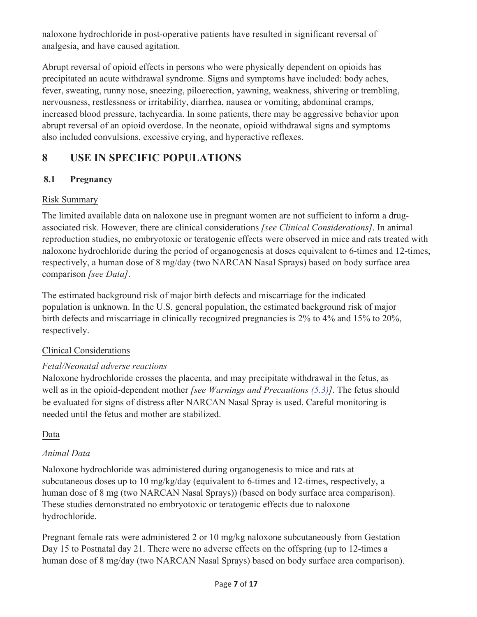naloxone hydrochloride in post-operative patients have resulted in significant reversal of analgesia, and have caused agitation.

Abrupt reversal of opioid effects in persons who were physically dependent on opioids has precipitated an acute withdrawal syndrome. Signs and symptoms have included: body aches, fever, sweating, runny nose, sneezing, piloerection, yawning, weakness, shivering or trembling, nervousness, restlessness or irritability, diarrhea, nausea or vomiting, abdominal cramps, increased blood pressure, tachycardia. In some patients, there may be aggressive behavior upon abrupt reversal of an opioid overdose. In the neonate, opioid withdrawal signs and symptoms also included convulsions, excessive crying, and hyperactive reflexes.

# **8 USE IN SPECIFIC POPULATIONS**

#### **8.1 Pregnancy**

#### Risk Summary

The limited available data on naloxone use in pregnant women are not sufficient to inform a drugassociated risk. However, there are clinical considerations *[see Clinical Considerations]*. In animal reproduction studies, no embryotoxic or teratogenic effects were observed in mice and rats treated with naloxone hydrochloride during the period of organogenesis at doses equivalent to 6-times and 12-times, respectively, a human dose of 8 mg/day (two NARCAN Nasal Sprays) based on body surface area comparison *[see Data]*.

The estimated background risk of major birth defects and miscarriage for the indicated population is unknown. In the U.S. general population, the estimated background risk of major birth defects and miscarriage in clinically recognized pregnancies is 2% to 4% and 15% to 20%, respectively.

#### Clinical Considerations

#### *Fetal/Neonatal adverse reactions*

Naloxone hydrochloride crosses the placenta, and may precipitate withdrawal in the fetus, as well as in the opioid-dependent mother *[see Warnings and Precautions (5.3)]*. The fetus should be evaluated for signs of distress after NARCAN Nasal Spray is used. Careful monitoring is needed until the fetus and mother are stabilized.

#### Data

#### *Animal Data*

Naloxone hydrochloride was administered during organogenesis to mice and rats at subcutaneous doses up to 10 mg/kg/day (equivalent to 6-times and 12-times, respectively, a human dose of 8 mg (two NARCAN Nasal Sprays)) (based on body surface area comparison). These studies demonstrated no embryotoxic or teratogenic effects due to naloxone hydrochloride.

Pregnant female rats were administered 2 or 10 mg/kg naloxone subcutaneously from Gestation Day 15 to Postnatal day 21. There were no adverse effects on the offspring (up to 12-times a human dose of 8 mg/day (two NARCAN Nasal Sprays) based on body surface area comparison).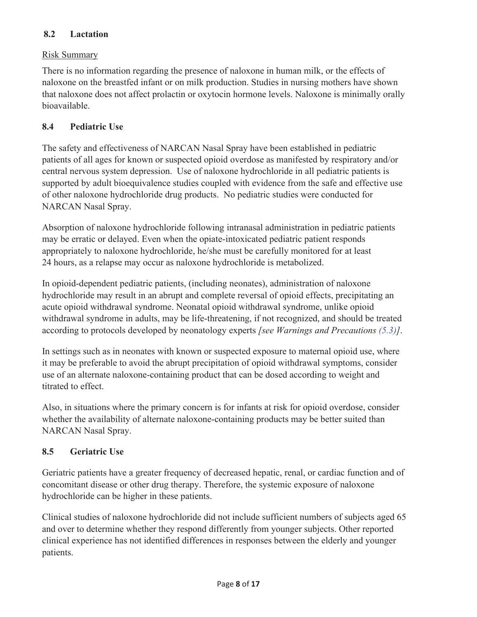#### **8.2 Lactation**

#### Risk Summary

There is no information regarding the presence of naloxone in human milk, or the effects of naloxone on the breastfed infant or on milk production. Studies in nursing mothers have shown that naloxone does not affect prolactin or oxytocin hormone levels. Naloxone is minimally orally bioavailable.

#### **8.4 Pediatric Use**

The safety and effectiveness of NARCAN Nasal Spray have been established in pediatric patients of all ages for known or suspected opioid overdose as manifested by respiratory and/or central nervous system depression. Use of naloxone hydrochloride in all pediatric patients is supported by adult bioequivalence studies coupled with evidence from the safe and effective use of other naloxone hydrochloride drug products. No pediatric studies were conducted for NARCAN Nasal Spray.

Absorption of naloxone hydrochloride following intranasal administration in pediatric patients may be erratic or delayed. Even when the opiate-intoxicated pediatric patient responds appropriately to naloxone hydrochloride, he/she must be carefully monitored for at least 24 hours, as a relapse may occur as naloxone hydrochloride is metabolized.

In opioid-dependent pediatric patients, (including neonates), administration of naloxone hydrochloride may result in an abrupt and complete reversal of opioid effects, precipitating an acute opioid withdrawal syndrome. Neonatal opioid withdrawal syndrome, unlike opioid withdrawal syndrome in adults, may be life-threatening, if not recognized, and should be treated according to protocols developed by neonatology experts *[see Warnings and Precautions (5.3)]*.

In settings such as in neonates with known or suspected exposure to maternal opioid use, where it may be preferable to avoid the abrupt precipitation of opioid withdrawal symptoms, consider use of an alternate naloxone-containing product that can be dosed according to weight and titrated to effect.

Also, in situations where the primary concern is for infants at risk for opioid overdose, consider whether the availability of alternate naloxone-containing products may be better suited than NARCAN Nasal Spray.

#### **8.5 Geriatric Use**

Geriatric patients have a greater frequency of decreased hepatic, renal, or cardiac function and of concomitant disease or other drug therapy. Therefore, the systemic exposure of naloxone hydrochloride can be higher in these patients.

Clinical studies of naloxone hydrochloride did not include sufficient numbers of subjects aged 65 and over to determine whether they respond differently from younger subjects. Other reported clinical experience has not identified differences in responses between the elderly and younger patients.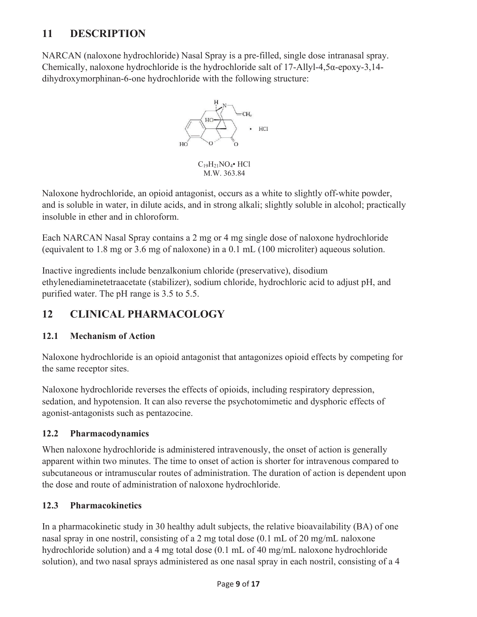# **11 DESCRIPTION**

NARCAN (naloxone hydrochloride) Nasal Spray is a pre-filled, single dose intranasal spray. Chemically, naloxone hydrochloride is the hydrochloride salt of 17-Allyl-4,5 $\alpha$ -epoxy-3,14dihydroxymorphinan-6-one hydrochloride with the following structure:



 $C_{19}H_{21}NO_4\bullet HCl$ M.W. 363.84

Naloxone hydrochloride, an opioid antagonist, occurs as a white to slightly off-white powder, and is soluble in water, in dilute acids, and in strong alkali; slightly soluble in alcohol; practically insoluble in ether and in chloroform.

Each NARCAN Nasal Spray contains a 2 mg or 4 mg single dose of naloxone hydrochloride (equivalent to 1.8 mg or 3.6 mg of naloxone) in a 0.1 mL (100 microliter) aqueous solution.

Inactive ingredients include benzalkonium chloride (preservative), disodium ethylenediaminetetraacetate (stabilizer), sodium chloride, hydrochloric acid to adjust pH, and purified water. The pH range is 3.5 to 5.5.

# **12 CLINICAL PHARMACOLOGY**

#### **12.1 Mechanism of Action**

Naloxone hydrochloride is an opioid antagonist that antagonizes opioid effects by competing for the same receptor sites.

Naloxone hydrochloride reverses the effects of opioids, including respiratory depression, sedation, and hypotension. It can also reverse the psychotomimetic and dysphoric effects of agonist-antagonists such as pentazocine.

#### **12.2 Pharmacodynamics**

When naloxone hydrochloride is administered intravenously, the onset of action is generally apparent within two minutes. The time to onset of action is shorter for intravenous compared to subcutaneous or intramuscular routes of administration. The duration of action is dependent upon the dose and route of administration of naloxone hydrochloride.

#### **12.3 Pharmacokinetics**

In a pharmacokinetic study in 30 healthy adult subjects, the relative bioavailability (BA) of one nasal spray in one nostril, consisting of a 2 mg total dose (0.1 mL of 20 mg/mL naloxone hydrochloride solution) and a 4 mg total dose (0.1 mL of 40 mg/mL naloxone hydrochloride solution), and two nasal sprays administered as one nasal spray in each nostril, consisting of a 4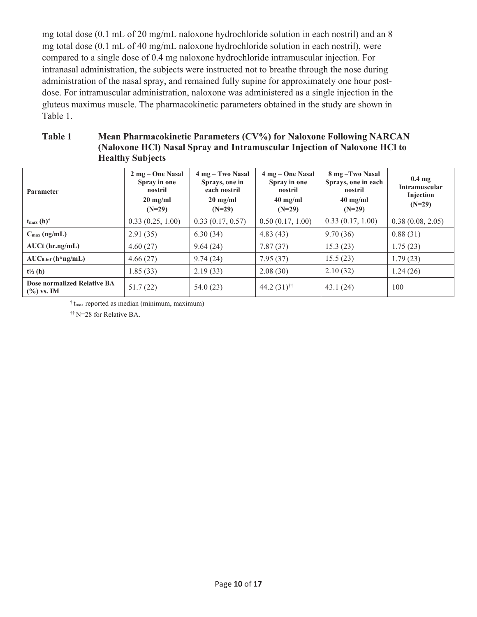mg total dose (0.1 mL of 20 mg/mL naloxone hydrochloride solution in each nostril) and an 8 mg total dose (0.1 mL of 40 mg/mL naloxone hydrochloride solution in each nostril), were compared to a single dose of 0.4 mg naloxone hydrochloride intramuscular injection. For intranasal administration, the subjects were instructed not to breathe through the nose during administration of the nasal spray, and remained fully supine for approximately one hour postdose. For intramuscular administration, naloxone was administered as a single injection in the gluteus maximus muscle. The pharmacokinetic parameters obtained in the study are shown in Table 1.

#### **Table 1 Mean Pharmacokinetic Parameters (CV%) for Naloxone Following NARCAN (Naloxone HCl) Nasal Spray and Intramuscular Injection of Naloxone HCl to Healthy Subjects**

| <b>Parameter</b>                             | $2 \text{ mg} - \text{One Nasal}$<br>Spray in one<br>nostril<br>$20 \text{ mg/ml}$<br>$(N=29)$ | 4 mg – Two Nasal<br>Sprays, one in<br>each nostril<br>$20 \text{ mg/ml}$<br>$(N=29)$ | 4 mg – One Nasal<br>Spray in one<br>nostril<br>$40 \text{ mg/ml}$<br>$(N=29)$ | 8 mg - Two Nasal<br>Sprays, one in each<br>nostril<br>$40 \text{ mg/ml}$<br>$(N=29)$ | $0.4 \text{ mg}$<br>Intramuscular<br>Injection<br>$(N=29)$ |
|----------------------------------------------|------------------------------------------------------------------------------------------------|--------------------------------------------------------------------------------------|-------------------------------------------------------------------------------|--------------------------------------------------------------------------------------|------------------------------------------------------------|
| $t_{\text{max}}(h)^{\dagger}$                | 0.33(0.25, 1.00)                                                                               | 0.33(0.17, 0.57)                                                                     | 0.50(0.17, 1.00)                                                              | 0.33(0.17, 1.00)                                                                     | 0.38(0.08, 2.05)                                           |
| $C_{\text{max}}$ (ng/mL)                     | 2.91(35)                                                                                       | 6.30(34)                                                                             | 4.83(43)                                                                      | 9.70(36)                                                                             | 0.88(31)                                                   |
| $AUCt$ (hr.ng/mL)                            | 4.60(27)                                                                                       | 9.64(24)                                                                             | 7.87(37)                                                                      | 15.3(23)                                                                             | 1.75(23)                                                   |
| $AUC_{0\text{-inf}}$ (h*ng/mL)               | 4.66(27)                                                                                       | 9.74(24)                                                                             | 7.95(37)                                                                      | 15.5(23)                                                                             | 1.79(23)                                                   |
| $t\frac{1}{2}$ (h)                           | 1.85(33)                                                                                       | 2.19(33)                                                                             | 2.08(30)                                                                      | 2.10(32)                                                                             | 1.24(26)                                                   |
| Dose normalized Relative BA<br>$(\%)$ vs. IM | 51.7(22)                                                                                       | 54.0(23)                                                                             | 44.2 $(31)$ <sup>††</sup>                                                     | 43.1(24)                                                                             | 100                                                        |

 $\dagger$ <sub>tmax</sub> reported as median (minimum, maximum)

†† N=28 for Relative BA.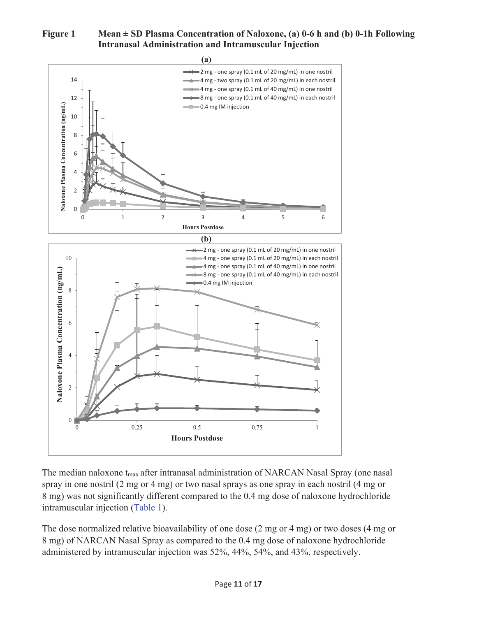



The median naloxone t<sub>max</sub> after intranasal administration of NARCAN Nasal Spray (one nasal spray in one nostril (2 mg or 4 mg) or two nasal sprays as one spray in each nostril (4 mg or 8 mg) was not significantly different compared to the 0.4 mg dose of naloxone hydrochloride intramuscular injection (Table 1).

The dose normalized relative bioavailability of one dose (2 mg or 4 mg) or two doses (4 mg or 8 mg) of NARCAN Nasal Spray as compared to the 0.4 mg dose of naloxone hydrochloride administered by intramuscular injection was 52%, 44%, 54%, and 43%, respectively.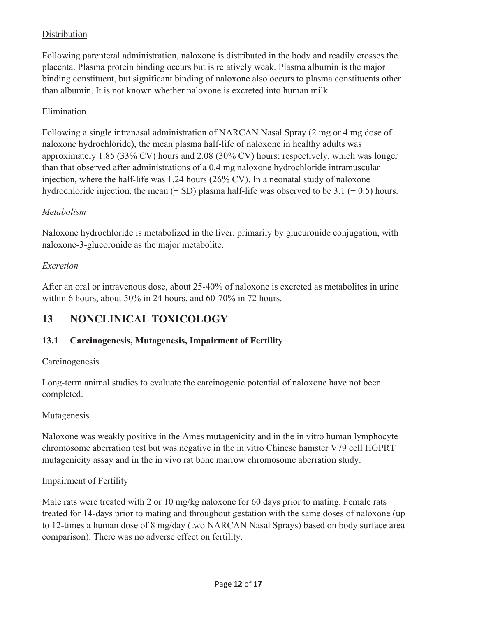#### **Distribution**

Following parenteral administration, naloxone is distributed in the body and readily crosses the placenta. Plasma protein binding occurs but is relatively weak. Plasma albumin is the major binding constituent, but significant binding of naloxone also occurs to plasma constituents other than albumin. It is not known whether naloxone is excreted into human milk.

#### Elimination

Following a single intranasal administration of NARCAN Nasal Spray (2 mg or 4 mg dose of naloxone hydrochloride), the mean plasma half-life of naloxone in healthy adults was approximately 1.85 (33% CV) hours and 2.08 (30% CV) hours; respectively, which was longer than that observed after administrations of a 0.4 mg naloxone hydrochloride intramuscular injection, where the half-life was 1.24 hours (26% CV). In a neonatal study of naloxone hydrochloride injection, the mean  $(\pm SD)$  plasma half-life was observed to be 3.1 ( $\pm 0.5$ ) hours.

#### *Metabolism*

Naloxone hydrochloride is metabolized in the liver, primarily by glucuronide conjugation, with naloxone-3-glucoronide as the major metabolite.

#### *Excretion*

After an oral or intravenous dose, about 25-40% of naloxone is excreted as metabolites in urine within 6 hours, about 50% in 24 hours, and 60-70% in 72 hours.

### **13 NONCLINICAL TOXICOLOGY**

#### **13.1 Carcinogenesis, Mutagenesis, Impairment of Fertility**

#### Carcinogenesis

Long-term animal studies to evaluate the carcinogenic potential of naloxone have not been completed.

#### Mutagenesis

Naloxone was weakly positive in the Ames mutagenicity and in the in vitro human lymphocyte chromosome aberration test but was negative in the in vitro Chinese hamster V79 cell HGPRT mutagenicity assay and in the in vivo rat bone marrow chromosome aberration study.

#### Impairment of Fertility

Male rats were treated with 2 or 10 mg/kg naloxone for 60 days prior to mating. Female rats treated for 14-days prior to mating and throughout gestation with the same doses of naloxone (up to 12-times a human dose of 8 mg/day (two NARCAN Nasal Sprays) based on body surface area comparison). There was no adverse effect on fertility.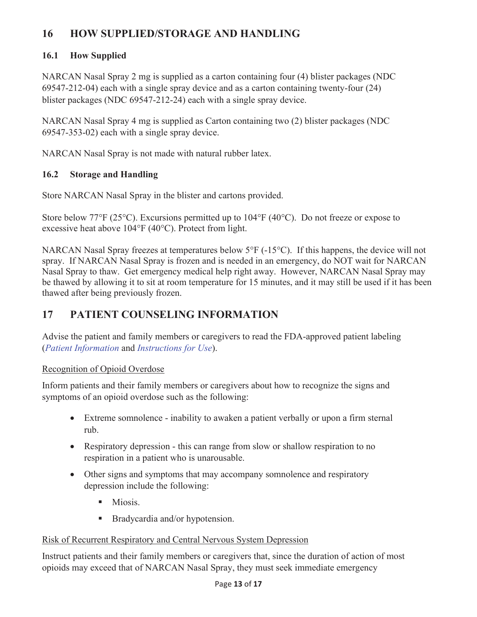# **16 HOW SUPPLIED/STORAGE AND HANDLING**

#### **16.1 How Supplied**

NARCAN Nasal Spray 2 mg is supplied as a carton containing four (4) blister packages (NDC 69547-212-04) each with a single spray device and as a carton containing twenty-four (24) blister packages (NDC 69547-212-24) each with a single spray device.

NARCAN Nasal Spray 4 mg is supplied as Carton containing two (2) blister packages (NDC 69547-353-02) each with a single spray device.

NARCAN Nasal Spray is not made with natural rubber latex.

#### **16.2 Storage and Handling**

Store NARCAN Nasal Spray in the blister and cartons provided.

Store below 77°F (25°C). Excursions permitted up to 104°F (40°C). Do not freeze or expose to excessive heat above 104°F (40°C). Protect from light.

NARCAN Nasal Spray freezes at temperatures below 5°F (-15°C). If this happens, the device will not spray. If NARCAN Nasal Spray is frozen and is needed in an emergency, do NOT wait for NARCAN Nasal Spray to thaw. Get emergency medical help right away. However, NARCAN Nasal Spray may be thawed by allowing it to sit at room temperature for 15 minutes, and it may still be used if it has been thawed after being previously frozen.

# **17 PATIENT COUNSELING INFORMATION**

Advise the patient and family members or caregivers to read the FDA-approved patient labeling (*Patient Information* and *Instructions for Use*).

#### Recognition of Opioid Overdose

Inform patients and their family members or caregivers about how to recognize the signs and symptoms of an opioid overdose such as the following:

- Extreme somnolence inability to awaken a patient verbally or upon a firm sternal rub.
- Respiratory depression this can range from slow or shallow respiration to no respiration in a patient who is unarousable.
- Other signs and symptoms that may accompany somnolence and respiratory depression include the following:
	- $\blacksquare$  Miosis.
	- Bradycardia and/or hypotension.

#### Risk of Recurrent Respiratory and Central Nervous System Depression

Instruct patients and their family members or caregivers that, since the duration of action of most opioids may exceed that of NARCAN Nasal Spray, they must seek immediate emergency

#### Page **13** of **17**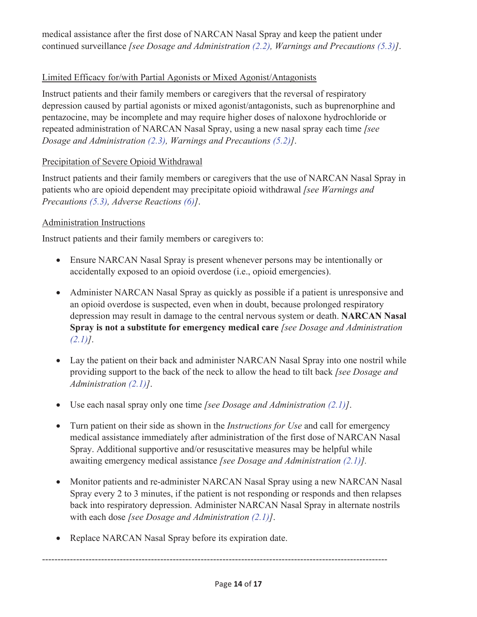medical assistance after the first dose of NARCAN Nasal Spray and keep the patient under continued surveillance *[see Dosage and Administration (2.2), Warnings and Precautions (5.3)]*.

#### Limited Efficacy for/with Partial Agonists or Mixed Agonist/Antagonists

Instruct patients and their family members or caregivers that the reversal of respiratory depression caused by partial agonists or mixed agonist/antagonists, such as buprenorphine and pentazocine, may be incomplete and may require higher doses of naloxone hydrochloride or repeated administration of NARCAN Nasal Spray, using a new nasal spray each time *[see Dosage and Administration (2.3), Warnings and Precautions (5.2)]*.

#### Precipitation of Severe Opioid Withdrawal

Instruct patients and their family members or caregivers that the use of NARCAN Nasal Spray in patients who are opioid dependent may precipitate opioid withdrawal *[see Warnings and Precautions (5.3), Adverse Reactions (6)]*.

#### Administration Instructions

Instruct patients and their family members or caregivers to:

- Ensure NARCAN Nasal Spray is present whenever persons may be intentionally or accidentally exposed to an opioid overdose (i.e., opioid emergencies).
- Administer NARCAN Nasal Spray as quickly as possible if a patient is unresponsive and an opioid overdose is suspected, even when in doubt, because prolonged respiratory depression may result in damage to the central nervous system or death. **NARCAN Nasal Spray is not a substitute for emergency medical care** *[see Dosage and Administration (2.1)]*.
- Lay the patient on their back and administer NARCAN Nasal Spray into one nostril while providing support to the back of the neck to allow the head to tilt back *[see Dosage and Administration (2.1)]*.
- x Use each nasal spray only one time *[see Dosage and Administration (2.1)]*.
- Turn patient on their side as shown in the *Instructions for Use* and call for emergency medical assistance immediately after administration of the first dose of NARCAN Nasal Spray. Additional supportive and/or resuscitative measures may be helpful while awaiting emergency medical assistance *[see Dosage and Administration (2.1)].*
- Monitor patients and re-administer NARCAN Nasal Spray using a new NARCAN Nasal Spray every 2 to 3 minutes, if the patient is not responding or responds and then relapses back into respiratory depression. Administer NARCAN Nasal Spray in alternate nostrils with each dose *[see Dosage and Administration (2.1)]*.
- Replace NARCAN Nasal Spray before its expiration date.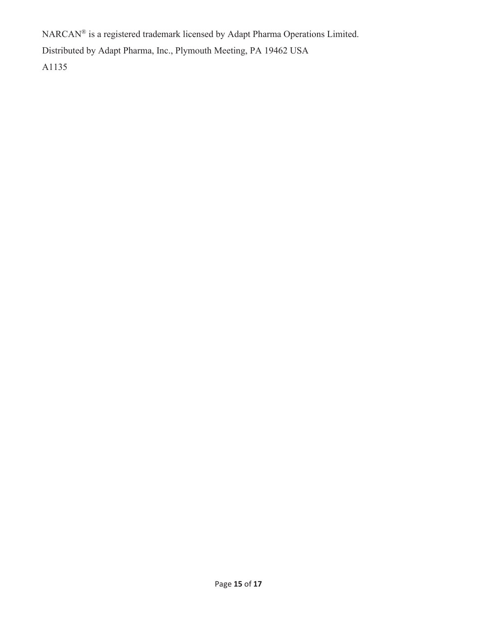NARCAN® is a registered trademark licensed by Adapt Pharma Operations Limited. Distributed by Adapt Pharma, Inc., Plymouth Meeting, PA 19462 USA A1135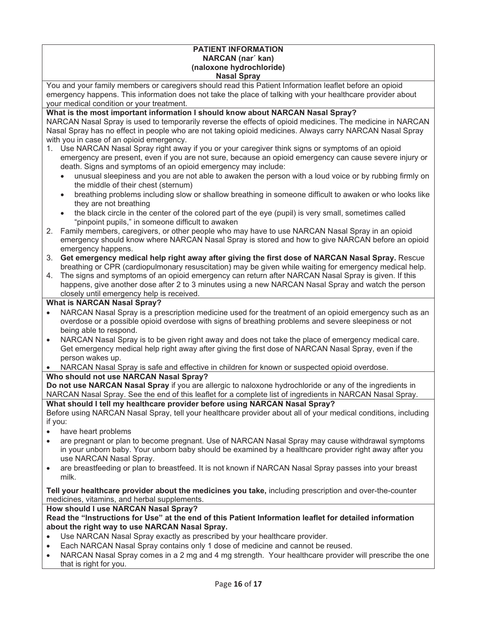#### **PATIENT INFORMATION NARCAN (nar´ kan) (naloxone hydrochloride) Nasal Spray**

You and your family members or caregivers should read this Patient Information leaflet before an opioid emergency happens. This information does not take the place of talking with your healthcare provider about your medical condition or your treatment.

#### **What is the most important information I should know about NARCAN Nasal Spray?**

NARCAN Nasal Spray is used to temporarily reverse the effects of opioid medicines. The medicine in NARCAN Nasal Spray has no effect in people who are not taking opioid medicines. Always carry NARCAN Nasal Spray with you in case of an opioid emergency.

- 1. Use NARCAN Nasal Spray right away if you or your caregiver think signs or symptoms of an opioid emergency are present, even if you are not sure, because an opioid emergency can cause severe injury or death. Signs and symptoms of an opioid emergency may include:
	- unusual sleepiness and you are not able to awaken the person with a loud voice or by rubbing firmly on the middle of their chest (sternum)
	- breathing problems including slow or shallow breathing in someone difficult to awaken or who looks like they are not breathing
	- the black circle in the center of the colored part of the eye (pupil) is very small, sometimes called "pinpoint pupils," in someone difficult to awaken
- 2. Family members, caregivers, or other people who may have to use NARCAN Nasal Spray in an opioid emergency should know where NARCAN Nasal Spray is stored and how to give NARCAN before an opioid emergency happens.
- 3. **Get emergency medical help right away after giving the first dose of NARCAN Nasal Spray.** Rescue breathing or CPR (cardiopulmonary resuscitation) may be given while waiting for emergency medical help.
- 4. The signs and symptoms of an opioid emergency can return after NARCAN Nasal Spray is given. If this happens, give another dose after 2 to 3 minutes using a new NARCAN Nasal Spray and watch the person closely until emergency help is received.

#### **What is NARCAN Nasal Spray?**

- NARCAN Nasal Spray is a prescription medicine used for the treatment of an opioid emergency such as an overdose or a possible opioid overdose with signs of breathing problems and severe sleepiness or not being able to respond.
- NARCAN Nasal Spray is to be given right away and does not take the place of emergency medical care. Get emergency medical help right away after giving the first dose of NARCAN Nasal Spray, even if the person wakes up.
- NARCAN Nasal Spray is safe and effective in children for known or suspected opioid overdose.

#### **Who should not use NARCAN Nasal Spray?**

**Do not use NARCAN Nasal Spray** if you are allergic to naloxone hydrochloride or any of the ingredients in NARCAN Nasal Spray. See the end of this leaflet for a complete list of ingredients in NARCAN Nasal Spray.

**What should I tell my healthcare provider before using NARCAN Nasal Spray?**  Before using NARCAN Nasal Spray, tell your healthcare provider about all of your medical conditions, including if you:

- have heart problems
- are pregnant or plan to become pregnant. Use of NARCAN Nasal Spray may cause withdrawal symptoms in your unborn baby. Your unborn baby should be examined by a healthcare provider right away after you use NARCAN Nasal Spray.
- are breastfeeding or plan to breastfeed. It is not known if NARCAN Nasal Spray passes into your breast milk.

**Tell your healthcare provider about the medicines you take,** including prescription and over-the-counter medicines, vitamins, and herbal supplements.

#### **How should I use NARCAN Nasal Spray?**

**Read the "Instructions for Use" at the end of this Patient Information leaflet for detailed information about the right way to use NARCAN Nasal Spray.** 

- Use NARCAN Nasal Spray exactly as prescribed by your healthcare provider.
- Each NARCAN Nasal Spray contains only 1 dose of medicine and cannot be reused.
- NARCAN Nasal Spray comes in a 2 mg and 4 mg strength. Your healthcare provider will prescribe the one that is right for you.